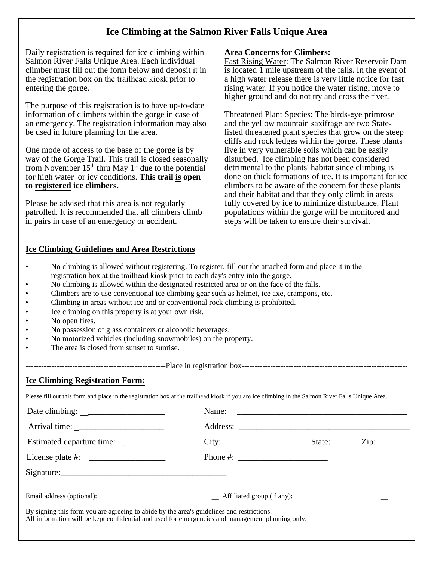## **Ice Climbing at the Salmon River Falls Unique Area**

Daily registration is required for ice climbing within Salmon River Falls Unique Area. Each individual climber must fill out the form below and deposit it in the registration box on the trailhead kiosk prior to entering the gorge.

The purpose of this registration is to have up-to-date information of climbers within the gorge in case of an emergency. The registration information may also be used in future planning for the area.

One mode of access to the base of the gorge is by way of the Gorge Trail. This trail is closed seasonally from November  $15<sup>th</sup>$  thru May  $1<sup>st</sup>$  due to the potential for high water or icy conditions. **This trail is open to registered ice climbers.** 

Please be advised that this area is not regularly patrolled. It is recommended that all climbers climb in pairs in case of an emergency or accident.

## **Ice Climbing Guidelines and Area Restrictions**

## **Area Concerns for Climbers:**

Fast Rising Water: The Salmon River Reservoir Dam is located 1 mile upstream of the falls. In the event of a high water release there is very little notice for fast rising water. If you notice the water rising, move to higher ground and do not try and cross the river.

Threatened Plant Species: The birds-eye primrose and the yellow mountain saxifrage are two Statelisted threatened plant species that grow on the steep cliffs and rock ledges within the gorge. These plants live in very vulnerable soils which can be easily disturbed. Ice climbing has not been considered detrimental to the plants' habitat since climbing is done on thick formations of ice. It is important for ice climbers to be aware of the concern for these plants and their habitat and that they only climb in areas fully covered by ice to minimize disturbance. Plant populations within the gorge will be monitored and steps will be taken to ensure their survival.

- No climbing is allowed without registering. To register, fill out the attached form and place it in the registration box at the trailhead kiosk prior to each day's entry into the gorge.
- No climbing is allowed within the designated restricted area or on the face of the falls.
- Climbers are to use conventional ice climbing gear such as helmet, ice axe, crampons, etc.
- Climbing in areas without ice and or conventional rock climbing is prohibited.
- Ice climbing on this property is at your own risk.
- No open fires.
- No possession of glass containers or alcoholic beverages.
- No motorized vehicles (including snowmobiles) on the property.
- The area is closed from sunset to sunrise.

-------------------------Place in registration box-------------------------------

## **Ice Climbing Registration Form:**

Please fill out this form and place in the registration box at the trailhead kiosk if you are ice climbing in the Salmon River Falls Unique Area.

| Estimated departure time: ___________                                                                                                                                                         |  |  |  |
|-----------------------------------------------------------------------------------------------------------------------------------------------------------------------------------------------|--|--|--|
|                                                                                                                                                                                               |  |  |  |
| Signature:                                                                                                                                                                                    |  |  |  |
|                                                                                                                                                                                               |  |  |  |
| By signing this form you are agreeing to abide by the area's guidelines and restrictions.<br>All information will be kept confidential and used for emergencies and management planning only. |  |  |  |